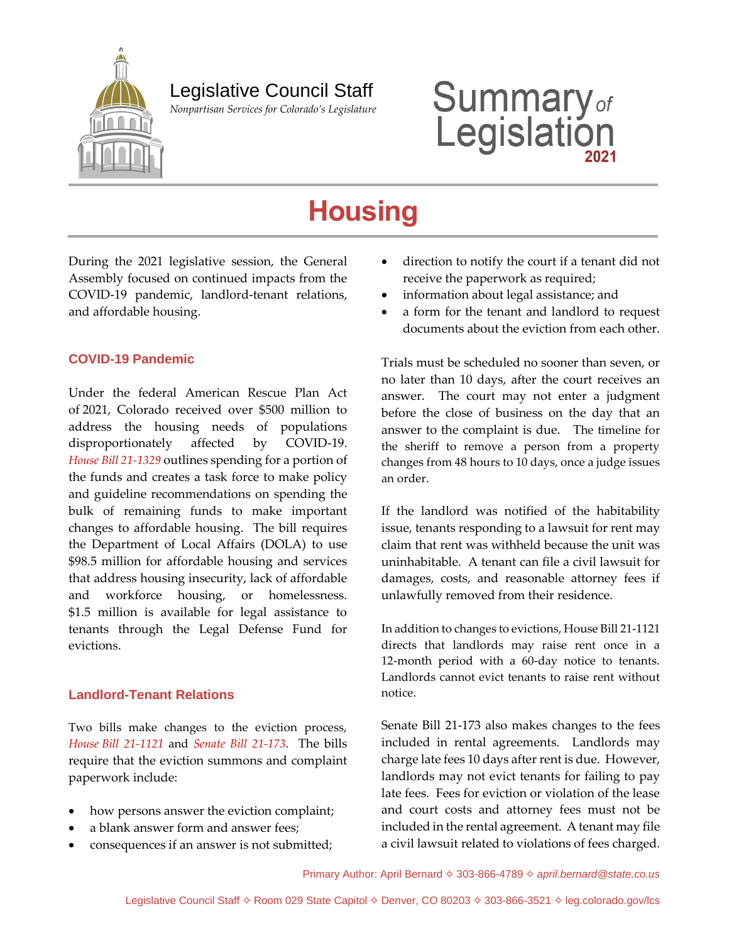

 *Nonpartisan Services for Colorado's Legislature*

# **Summary**<sub>of</sub><br>Legislation

## **Housing**

During the 2021 legislative session, the General Assembly focused on continued impacts from the COVID-19 pandemic, landlord-tenant relations, and affordable housing.

#### **COVID-19 Pandemic**

Under the federal American Rescue Plan Act of 2021, Colorado received over \$500 million to address the housing needs of populations disproportionately affected by COVID-19. *[House Bill 21-1329](http://leg.colorado.gov/bills/hb21-1329)* outlines spending for a portion of the funds and creates a task force to make policy and guideline recommendations on spending the bulk of remaining funds to make important changes to affordable housing. The bill requires the Department of Local Affairs (DOLA) to use \$98.5 million for affordable housing and services that address housing insecurity, lack of affordable and workforce housing, or homelessness. \$1.5 million is available for legal assistance to tenants through the Legal Defense Fund for evictions.

#### **Landlord-Tenant Relations**

Two bills make changes to the eviction process, *House [Bill 21-1121](http://leg.colorado.gov/bills/hb21-1121)* and *[Senate Bill 21-173](http://leg.colorado.gov/bills/sb21-173)*. The bills require that the eviction summons and complaint paperwork include:

- how persons answer the eviction complaint;
- a blank answer form and answer fees;
- consequences if an answer is not submitted;
- direction to notify the court if a tenant did not receive the paperwork as required;
- information about legal assistance; and
- a form for the tenant and landlord to request documents about the eviction from each other.

Trials must be scheduled no sooner than seven, or no later than 10 days, after the court receives an answer. The court may not enter a judgment before the close of business on the day that an answer to the complaint is due. The timeline for the sheriff to remove a person from a property changes from 48 hours to 10 days, once a judge issues an order.

If the landlord was notified of the habitability issue, tenants responding to a lawsuit for rent may claim that rent was withheld because the unit was uninhabitable. A tenant can file a civil lawsuit for damages, costs, and reasonable attorney fees if unlawfully removed from their residence.

In addition to changes to evictions, House Bill 21-1121 directs that landlords may raise rent once in a 12-month period with a 60-day notice to tenants. Landlords cannot evict tenants to raise rent without notice.

Senate Bill 21-173 also makes changes to the fees included in rental agreements. Landlords may charge late fees 10 days after rent is due. However, landlords may not evict tenants for failing to pay late fees. Fees for eviction or violation of the lease and court costs and attorney fees must not be included in the rental agreement. A tenant may file a civil lawsuit related to violations of fees charged.

Primary Author: April Bernard 303-866-4789 *[april.bernard@state.co.us](mailto:april.bernard@state.co.us)*